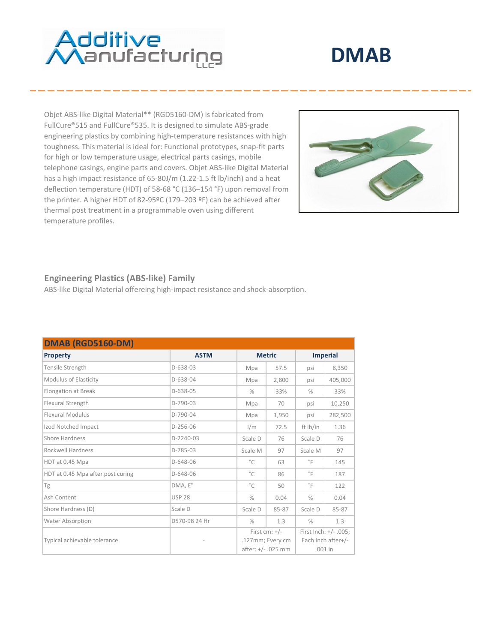# **Additive**<br>Manufacturing

## **DMAB**

Objet ABS-like Digital Material\*\* (RGD5160-DM) is fabricated from FullCure®515 and FullCure®535. It is designed to simulate ABS-grade engineering plastics by combining high-temperature resistances with high toughness. This material is ideal for: Functional prototypes, snap-fit parts for high or low temperature usage, electrical parts casings, mobile telephone casings, engine parts and covers. Objet ABS-like Digital Material has a high impact resistance of 65-80J/m (1.22-1.5 ft lb/inch) and a heat deflection temperature (HDT) of 58-68 °C (136–154 °F) upon removal from the printer. A higher HDT of 82-95ºC (179–203 ºF) can be achieved after thermal post treatment in a programmable oven using different temperature profiles.



#### **Engineering Plastics (ABS-like) Family**

ABS-like Digital Material offereing high-impact resistance and shock-absorption.

| <b>DMAB (RGD5160-DM)</b>          |               |               |                    |               |                          |  |
|-----------------------------------|---------------|---------------|--------------------|---------------|--------------------------|--|
| <b>Property</b>                   | <b>ASTM</b>   |               | <b>Metric</b>      |               | <b>Imperial</b>          |  |
| Tensile Strength                  | $D-638-03$    | Mpa           | 57.5               | psi           | 8,350                    |  |
| Modulus of Elasticity             | D-638-04      | Mpa           | 2,800              | psi           | 405,000                  |  |
| <b>Elongation at Break</b>        | $D-638-05$    | $\frac{0}{0}$ | 33%                | $\frac{0}{0}$ | 33%                      |  |
| Flexural Strength                 | $D-790-03$    | Mpa           | 70                 | psi           | 10,250                   |  |
| Flexural Modulus                  | D-790-04      | Mpa           | 1,950              | psi           | 282,500                  |  |
| Izod Notched Impact               | $D-256-06$    | J/m           | 72.5               | ft Ib/in      | 1.36                     |  |
| Shore Hardness                    | $D-2240-03$   | Scale D       | 76                 | Scale D       | 76                       |  |
| Rockwell Hardness                 | $D-785-03$    | Scale M       | 97                 | Scale M       | 97                       |  |
| HDT at 0.45 Mpa                   | D-648-06      | $^{\circ}$ C  | 63                 | $^{\circ}$ F  | 145                      |  |
| HDT at 0.45 Mpa after post curing | D-648-06      | $^{\circ}$ C  | 86                 | $^{\circ}$ F  | 187                      |  |
| Tg                                | DMA, E"       | $^{\circ}$ C  | 50                 | $^{\circ}$ F  | 122                      |  |
| Ash Content                       | <b>USP 28</b> | $\frac{0}{0}$ | 0.04               | $\frac{0}{0}$ | 0.04                     |  |
| Shore Hardness (D)                | Scale D       | Scale D       | 85-87              | Scale D       | 85-87                    |  |
| <b>Water Absorption</b>           | D570-98 24 Hr | $\frac{0}{0}$ | 1.3                | $\frac{0}{0}$ | 1.3                      |  |
| Typical achievable tolerance      |               |               | First cm: $+/-$    |               | First Inch: $+/- .005$ ; |  |
|                                   |               |               | .127mm; Every cm   |               | Each Inch after+/-       |  |
|                                   |               |               | after: +/- .025 mm |               | $001$ in                 |  |